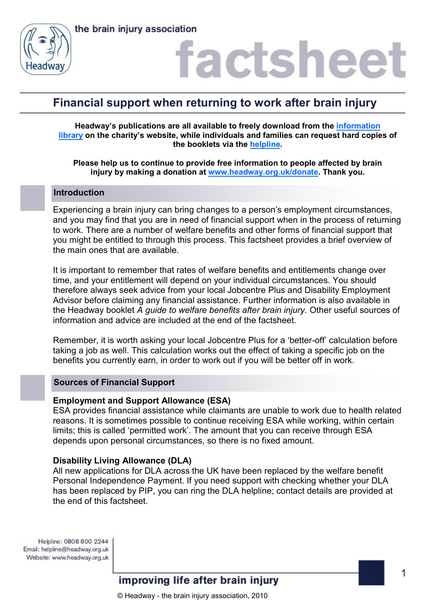

### factsheet

### **Financial support when returning to work after brain injury**

**Headway's publications are all available to freely download from the [information](https://www.headway.org.uk/about-brain-injury/individuals/information-library/)  [library](https://www.headway.org.uk/about-brain-injury/individuals/information-library/) on the charity's website, while individuals and families can request hard copies of the booklets via the [helpline.](https://www.headway.org.uk/supporting-you/helpline/)**

**Please help us to continue to provide free information to people affected by brain injury by making a donation at [www.headway.org.uk/donate.](http://www.headway.org.uk/donate) Thank you.**

#### **Introduction**

Experiencing a brain injury can bring changes to a person's employment circumstances, and you may find that you are in need of financial support when in the process of returning to work. There are a number of welfare benefits and other forms of financial support that you might be entitled to through this process. This factsheet provides a brief overview of the main ones that are available.

It is important to remember that rates of welfare benefits and entitlements change over time, and your entitlement will depend on your individual circumstances. You should therefore always seek advice from your local Jobcentre Plus and Disability Employment Advisor before claiming any financial assistance. Further information is also available in the Headway booklet *A guide to welfare benefits after brain injury.* Other useful sources of information and advice are included at the end of the factsheet.

Remember, it is worth asking your local Jobcentre Plus for a 'better-off' calculation before taking a job as well. This calculation works out the effect of taking a specific job on the benefits you currently earn, in order to work out if you will be better off in work.

#### **Sources of Financial Support**

#### **Employment and Support Allowance (ESA)**

ESA provides financial assistance while claimants are unable to work due to health related reasons. It is sometimes possible to continue receiving ESA while working, within certain limits; this is called 'permitted work'. The amount that you can receive through ESA depends upon personal circumstances, so there is no fixed amount.

#### **Disability Living Allowance (DLA)**

All new applications for DLA across the UK have been replaced by the welfare benefit Personal Independence Payment. If you need support with checking whether your DLA has been replaced by PIP, you can ring the DLA helpline; contact details are provided at the end of this factsheet.

Helpline: 0808 800 2244 Email: helpline@headway.org.uk Website: www.headway.org.uk

improving life after brain injury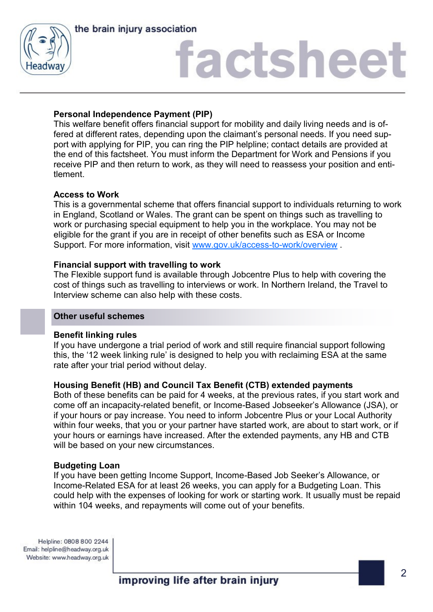



## factshee<sup>®</sup>

#### **Personal Independence Payment (PIP)**

This welfare benefit offers financial support for mobility and daily living needs and is offered at different rates, depending upon the claimant's personal needs. If you need support with applying for PIP, you can ring the PIP helpline; contact details are provided at the end of this factsheet. You must inform the Department for Work and Pensions if you receive PIP and then return to work, as they will need to reassess your position and entitlement.

#### **Access to Work**

This is a governmental scheme that offers financial support to individuals returning to work in England, Scotland or Wales. The grant can be spent on things such as travelling to work or purchasing special equipment to help you in the workplace. You may not be eligible for the grant if you are in receipt of other benefits such as ESA or Income Support. For more information, visit [www.gov.uk/access-to-work/overview](https://www.gov.uk/access-to-work/overview) .

#### **Financial support with travelling to work**

The Flexible support fund is available through Jobcentre Plus to help with covering the cost of things such as travelling to interviews or work. In Northern Ireland, the Travel to Interview scheme can also help with these costs.

#### **Other useful schemes**

#### **Benefit linking rules**

If you have undergone a trial period of work and still require financial support following this, the '12 week linking rule' is designed to help you with reclaiming ESA at the same rate after your trial period without delay.

#### **Housing Benefit (HB) and Council Tax Benefit (CTB) extended payments**

Both of these benefits can be paid for 4 weeks, at the previous rates, if you start work and come off an incapacity-related benefit, or Income-Based Jobseeker's Allowance (JSA), or if your hours or pay increase. You need to inform Jobcentre Plus or your Local Authority within four weeks, that you or your partner have started work, are about to start work, or if your hours or earnings have increased. After the extended payments, any HB and CTB will be based on your new circumstances.

#### **Budgeting Loan**

If you have been getting Income Support, Income-Based Job Seeker's Allowance, or Income-Related ESA for at least 26 weeks, you can apply for a Budgeting Loan. This could help with the expenses of looking for work or starting work. It usually must be repaid within 104 weeks, and repayments will come out of your benefits.

Helpline: 0808 800 2244 Email: helpline@headway.org.uk Website: www.headway.org.uk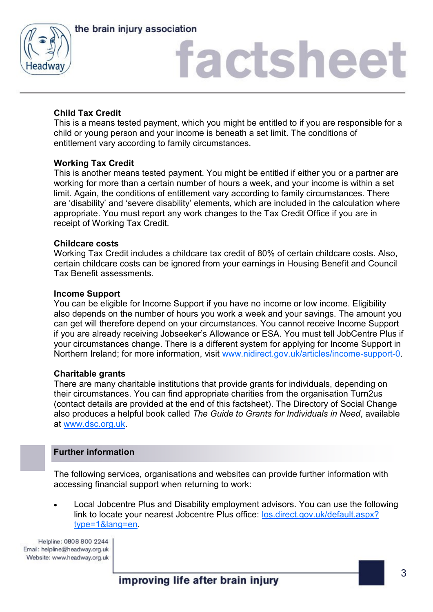



# factsheet

#### **Child Tax Credit**

This is a means tested payment, which you might be entitled to if you are responsible for a child or young person and your income is beneath a set limit. The conditions of entitlement vary according to family circumstances.

#### **Working Tax Credit**

This is another means tested payment. You might be entitled if either you or a partner are working for more than a certain number of hours a week, and your income is within a set limit. Again, the conditions of entitlement vary according to family circumstances. There are 'disability' and 'severe disability' elements, which are included in the calculation where appropriate. You must report any work changes to the Tax Credit Office if you are in receipt of Working Tax Credit.

#### **Childcare costs**

Working Tax Credit includes a childcare tax credit of 80% of certain childcare costs. Also, certain childcare costs can be ignored from your earnings in Housing Benefit and Council Tax Benefit assessments.

#### **Income Support**

You can be eligible for Income Support if you have no income or low income. Eligibility also depends on the number of hours you work a week and your savings. The amount you can get will therefore depend on your circumstances. You cannot receive Income Support if you are already receiving Jobseeker's Allowance or ESA. You must tell JobCentre Plus if your circumstances change. There is a different system for applying for Income Support in Northern Ireland; for more information, visit [www.nidirect.gov.uk/articles/income-support-0.](https://www.nidirect.gov.uk/articles/income-support-0) 

#### **Charitable grants**

There are many charitable institutions that provide grants for individuals, depending on their circumstances. You can find appropriate charities from the organisation Turn2us (contact details are provided at the end of this factsheet). The Directory of Social Change also produces a helpful book called *The Guide to Grants for Individuals in Need*, available at [www.dsc.org.uk.](http://www.dsc.org.uk)

#### **Further information**

The following services, organisations and websites can provide further information with accessing financial support when returning to work:

 Local Jobcentre Plus and Disability employment advisors. You can use the following link to locate your nearest Jobcentre Plus office: [los.direct.gov.uk/default.aspx?](http://los.direct.gov.uk/default.aspx?type=1&lang=en) [type=1&lang=en.](http://los.direct.gov.uk/default.aspx?type=1&lang=en)

Helpline: 0808 800 2244 Email: helpline@headway.org.uk Website: www.headway.org.uk